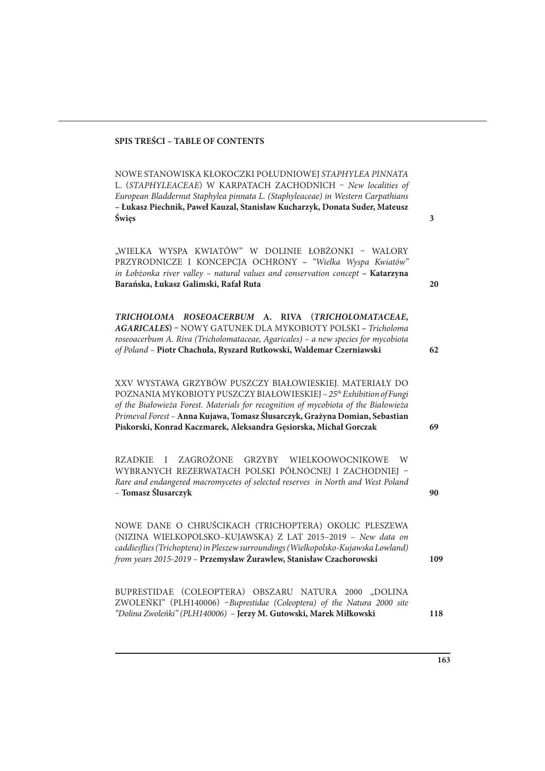## **SPIS TREŚCI – TABLE OF CONTENTS**

NOWE STANOWISKA KŁOKOCZKI POŁUDNIOWEJ STAPHYLEA PINNATA L. (STAPHYLEACEAE) W KARPATACH ZACHODNICH – New localities of European Bladdernut Staphylea pinnata L. (Staphyleaceae) in Western Carpathians **– Łukasz Piechnik, Paweł Kauzal, Stanisław Kucharzyk, Donata Suder, Mateusz Święs**

"WIELKA WYSPA KWIATÓW" W DOLINIE ŁOBŻONKI - WALORY PRZYRODNICZE I KONCEPCJA OCHRONY **–** "Wielka Wyspa Kwiatów" in Łobżonka river valley – natural values and conservation concept **– Katarzyna Barańska, Łukasz Galimski, Rafał Ruta**

**TRICHOLOMA ROSEOACERBUM A. RIVA (TRICHOLOMATACEAE, AGARICALES) –** NOWY GATUNEK DLA MYKOBIOTY POLSKI **–** Tricholoma roseoacerbum A. Riva (Tricholomataceae, Agaricales) – a new species for mycobiota of Poland – **Piotr Chachuła, Ryszard Rutkowski, Waldemar Czerniawski**

XXV WYSTAWA GRZYBÓW PUSZCZY BIAŁOWIESKIEJ. MATERIAŁY DO POZNANIA MYKOBIOTY PUSZCZY BIAŁOWIESKIEJ – 25<sup>th</sup> Exhibition of Fungi of the Białowieża Forest. Materials for recognition of mycobiota of the Białowieża Primeval Forest – **Anna Kujawa, Tomasz Ślusarczyk, Grażyna Domian, Sebastian Piskorski, Konrad Kaczmarek, Aleksandra Gęsiorska, Michał Gorczak**

RZADKIE I ZAGROŻONE GRZYBY WIELKOOWOCNIKOWE W WYBRANYCH REZERWATACH POLSKI PÓŁNOCNEJ I ZACHODNIEJ -Rare and endangered macromycetes of selected reserves in North and West Poland – **Tomasz Ślusarczyk**

NOWE DANE O CHRUŚCIKACH (TRICHOPTERA) OKOLIC PLESZEWA (NIZINA WIELKOPOLSKO–KUJAWSKA) Z LAT 2015–2019 – New data on caddies#ies (Trichoptera) in Pleszew surroundings (Wielkopolsko-Kujawska Lowland) from years 2015-2019 – **Przemysław Żurawlew, Stanisław Czachorowski**

BUPRESTIDAE (COLEOPTERA) OBSZARU NATURA 2000 "DOLINA ZWOLEŃKI" (PLH140006) –Buprestidae (Coleoptera) of the Natura 2000 site "Dolina Zwoleńki" (PLH140006) – **Jerzy M. Gutowski, Marek Miłkowski**

**3**

**20**

**62**

**69**

**90**

**109**

**163**

**118**